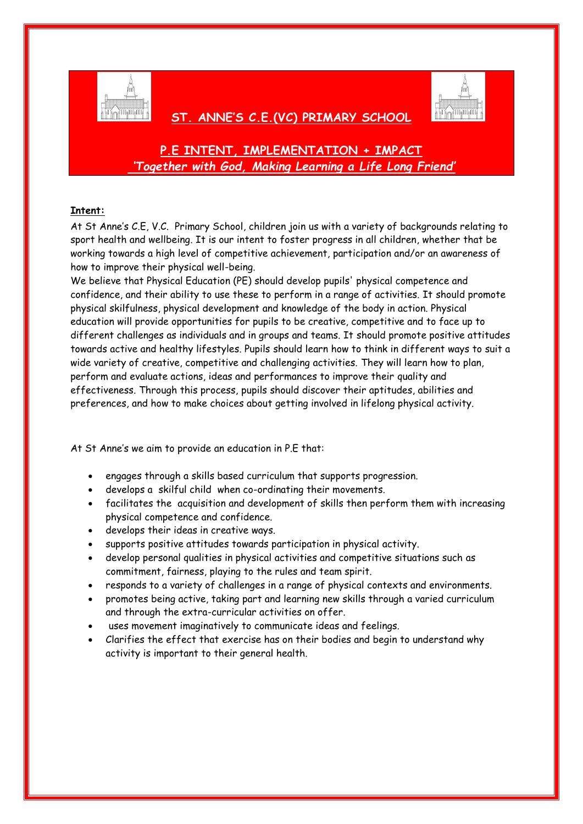

## **ST. ANNE'S C.E.(VC) PRIMARY SCHOOL**



# **P.E INTENT, IMPLEMENTATION + IMPACT** *'Together with God, Making Learning a Life Long Friend'*

## **Intent:**

At St Anne's C.E, V.C. Primary School, children join us with a variety of backgrounds relating to sport health and wellbeing. It is our intent to foster progress in all children, whether that be working towards a high level of competitive achievement, participation and/or an awareness of how to improve their physical well-being.

We believe that Physical Education (PE) should develop pupils' physical competence and confidence, and their ability to use these to perform in a range of activities. It should promote physical skilfulness, physical development and knowledge of the body in action. Physical education will provide opportunities for pupils to be creative, competitive and to face up to different challenges as individuals and in groups and teams. It should promote positive attitudes towards active and healthy lifestyles. Pupils should learn how to think in different ways to suit a wide variety of creative, competitive and challenging activities. They will learn how to plan, perform and evaluate actions, ideas and performances to improve their quality and effectiveness. Through this process, pupils should discover their aptitudes, abilities and preferences, and how to make choices about getting involved in lifelong physical activity.

At St Anne's we aim to provide an education in P.E that:

- engages through a skills based curriculum that supports progression.
- develops a skilful child when co-ordinating their movements.
- facilitates the acquisition and development of skills then perform them with increasing physical competence and confidence.
- develops their ideas in creative ways.
- supports positive attitudes towards participation in physical activity.
- develop personal qualities in physical activities and competitive situations such as commitment, fairness, playing to the rules and team spirit.
- responds to a variety of challenges in a range of physical contexts and environments.
- promotes being active, taking part and learning new skills through a varied curriculum and through the extra-curricular activities on offer.
- uses movement imaginatively to communicate ideas and feelings.
- Clarifies the effect that exercise has on their bodies and begin to understand why activity is important to their general health.